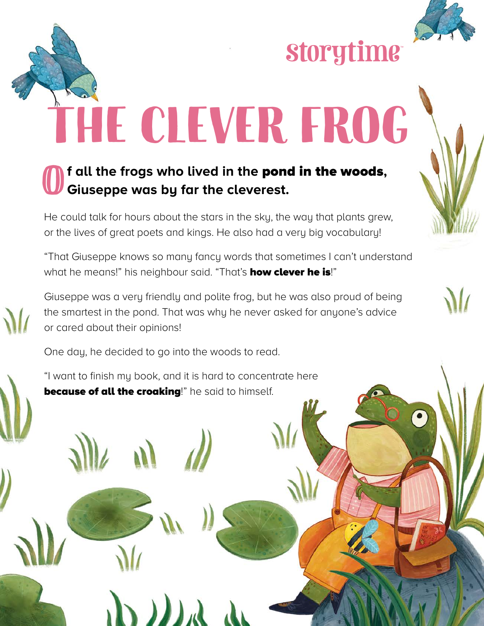

**Storytime** 

The clever frog

## O**f all the frogs who lived in the** pond in the woods**, Giuseppe was by far the cleverest.**

He could talk for hours about the stars in the sky, the way that plants grew, or the lives of great poets and kings. He also had a very big vocabulary!

"That Giuseppe knows so many fancy words that sometimes I can't understand what he means!" his neighbour said. "That's **how clever he is**!"

Giuseppe was a very friendly and polite frog, but he was also proud of being the smartest in the pond. That was why he never asked for anyone's advice or cared about their opinions!

One day, he decided to go into the woods to read.

"I want to finish my book, and it is hard to concentrate here **because of all the croaking!**" he said to himself.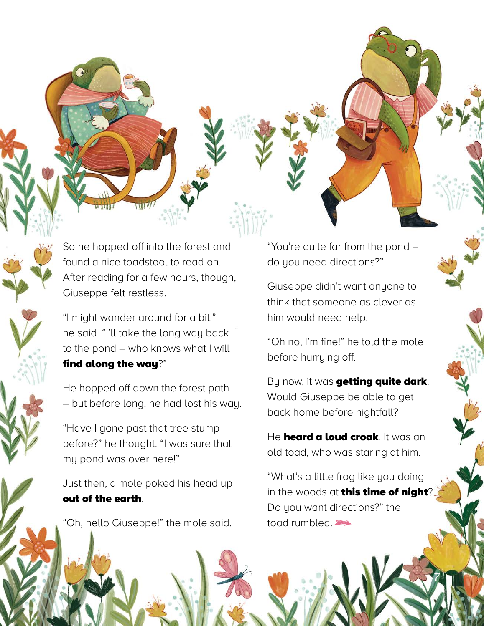So he hopped off into the forest and found a nice toadstool to read on. After reading for a few hours, though, Giuseppe felt restless.

w

"I might wander around for a bit!" he said. "I'll take the long way back to the pond – who knows what I will find along the way?"

He hopped off down the forest path – but before long, he had lost his way.

"Have I gone past that tree stump before?" he thought. "I was sure that my pond was over here!"

Just then, a mole poked his head up out of the earth.

"Oh, hello Giuseppe!" the mole said.

"You're quite far from the pond – do you need directions?"

Giuseppe didn't want anyone to think that someone as clever as him would need help.

"Oh no, I'm fine!" he told the mole before hurrying off.

By now, it was **getting quite dark**. Would Giuseppe be able to get back home before nightfall?

He **heard a loud croak**. It was an old toad, who was staring at him.

"What's a little frog like you doing in the woods at **this time of night**? Do you want directions?" the toad rumbled.

7